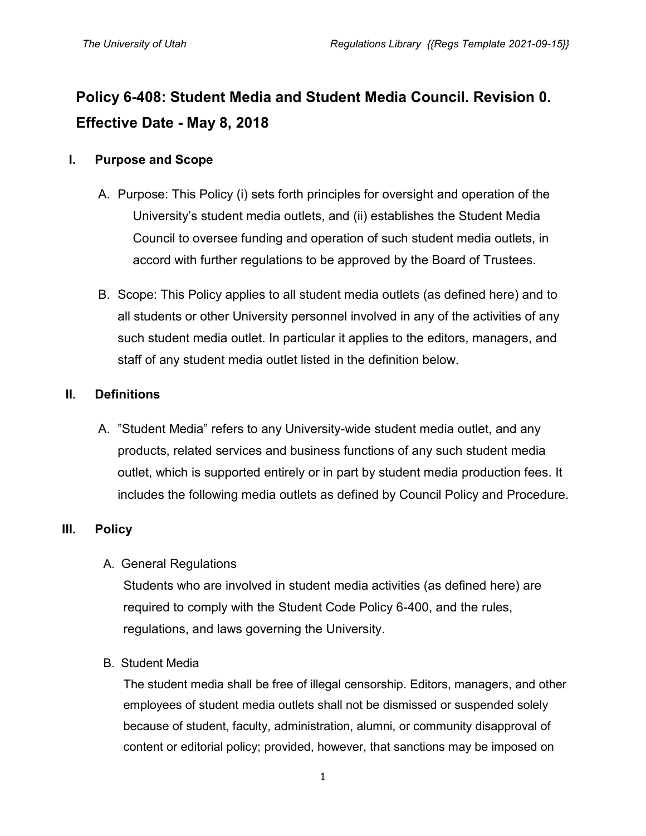# **Policy 6-408: Student Media and Student Media Council. Revision 0. Effective Date - May 8, 2018**

### **I. Purpose and Scope**

- A. Purpose: This Policy (i) sets forth principles for oversight and operation of the University's student media outlets, and (ii) establishes the Student Media Council to oversee funding and operation of such student media outlets, in accord with further regulations to be approved by the Board of Trustees.
- B. Scope: This Policy applies to all student media outlets (as defined here) and to all students or other University personnel involved in any of the activities of any such student media outlet. In particular it applies to the editors, managers, and staff of any student media outlet listed in the definition below.

# **II. Definitions**

A. "Student Media" refers to any University-wide student media outlet, and any products, related services and business functions of any such student media outlet, which is supported entirely or in part by student media production fees. It includes the following media outlets as defined by Council Policy and Procedure.

# **III. Policy**

# A. General Regulations

Students who are involved in student media activities (as defined here) are required to comply with the Student Code Policy 6-400, and the rules, regulations, and laws governing the University.

# B. Student Media

The student media shall be free of illegal censorship. Editors, managers, and other employees of student media outlets shall not be dismissed or suspended solely because of student, faculty, administration, alumni, or community disapproval of content or editorial policy; provided, however, that sanctions may be imposed on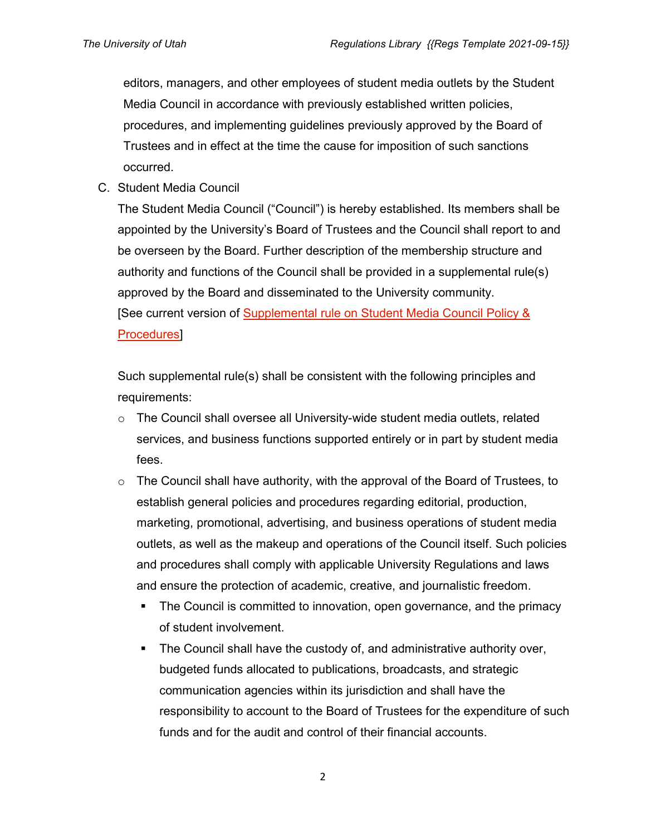editors, managers, and other employees of student media outlets by the Student Media Council in accordance with previously established written policies, procedures, and implementing guidelines previously approved by the Board of Trustees and in effect at the time the cause for imposition of such sanctions occurred.

C. Student Media Council

The Student Media Council ("Council") is hereby established. Its members shall be appointed by the University's Board of Trustees and the Council shall report to and be overseen by the Board. Further description of the membership structure and authority and functions of the Council shall be provided in a supplemental rule(s) approved by the Board and disseminated to the University community. [See current version of Supplemental rule on Student Media Council Policy & [Procedures\]](https://admin.utah.edu/wp-content/uploads/2015/03/StudentMediaCouncilPolProced_Dec2009.pdf)

Such supplemental rule(s) shall be consistent with the following principles and requirements:

- $\circ$  The Council shall oversee all University-wide student media outlets, related services, and business functions supported entirely or in part by student media fees.
- $\circ$  The Council shall have authority, with the approval of the Board of Trustees, to establish general policies and procedures regarding editorial, production, marketing, promotional, advertising, and business operations of student media outlets, as well as the makeup and operations of the Council itself. Such policies and procedures shall comply with applicable University Regulations and laws and ensure the protection of academic, creative, and journalistic freedom.
	- The Council is committed to innovation, open governance, and the primacy of student involvement.
	- The Council shall have the custody of, and administrative authority over, budgeted funds allocated to publications, broadcasts, and strategic communication agencies within its jurisdiction and shall have the responsibility to account to the Board of Trustees for the expenditure of such funds and for the audit and control of their financial accounts.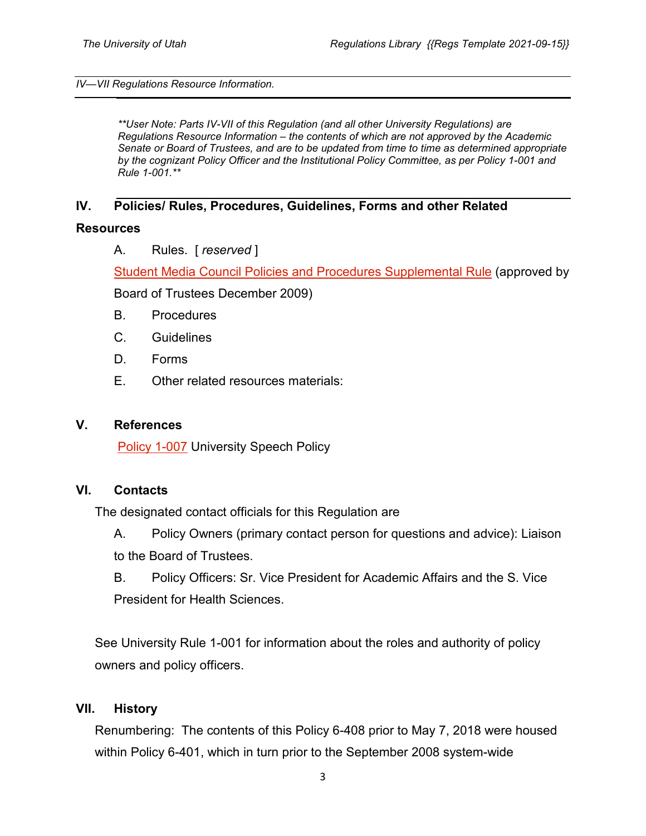#### *IV—VII Regulations Resource Information.*

*\*\*User Note: Parts IV-VII of this Regulation (and all other University Regulations) are Regulations Resource Information – the contents of which are not approved by the Academic Senate or Board of Trustees, and are to be updated from time to time as determined appropriate by the cognizant Policy Officer and the Institutional Policy Committee, as per Policy 1-001 and Rule 1-001.\*\**

### **IV. Policies/ Rules, Procedures, Guidelines, Forms and other Related**

#### **Resources**

A. Rules. [ *reserved* ]

[Student Media Council Policies and Procedures Supplemental Rule](https://admin.utah.edu/wp-content/uploads/2015/03/StudentMediaCouncilPolProced_Dec2009.pdf) (approved by

Board of Trustees December 2009)

- B. Procedures
- C. Guidelines
- D. Forms
- E. Other related resources materials:

### **V. References**

**[Policy 1-007](https://regulations.utah.edu/general/1-007.php) University Speech Policy** 

### **VI. Contacts**

The designated contact officials for this Regulation are

- A. Policy Owners (primary contact person for questions and advice): Liaison to the Board of Trustees.
- B. Policy Officers: Sr. Vice President for Academic Affairs and the S. Vice President for Health Sciences.

See University Rule 1-001 for information about the roles and authority of policy owners and policy officers.

### **VII. History**

Renumbering: The contents of this Policy 6-408 prior to May 7, 2018 were housed within Policy 6-401, which in turn prior to the September 2008 system-wide